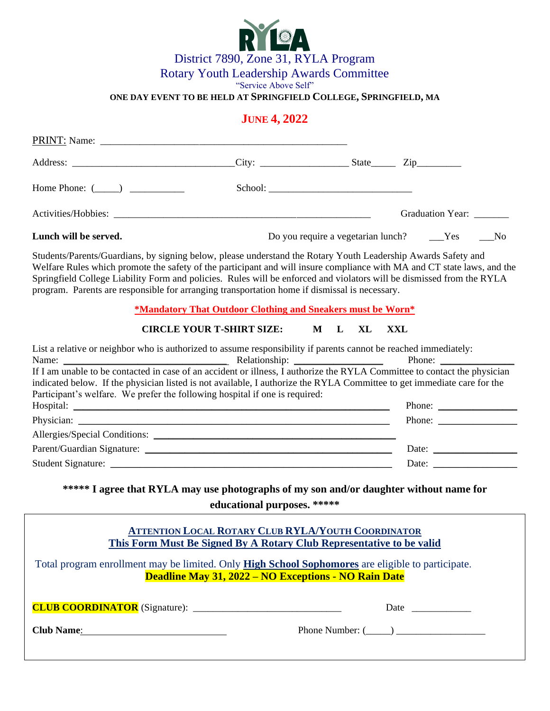

"Service Above Self"

**ONE DAY EVENT TO BE HELD AT SPRINGFIELD COLLEGE, SPRINGFIELD, MA** 

## **JUNE 4, 2022**

| Home Phone: $(\_\_)$                                                                                                                                                                                                                                                                                                                                                                                                                                                                                                                                                                                                                                                                      |                                                                                                                                   |                        |                                                               |  |
|-------------------------------------------------------------------------------------------------------------------------------------------------------------------------------------------------------------------------------------------------------------------------------------------------------------------------------------------------------------------------------------------------------------------------------------------------------------------------------------------------------------------------------------------------------------------------------------------------------------------------------------------------------------------------------------------|-----------------------------------------------------------------------------------------------------------------------------------|------------------------|---------------------------------------------------------------|--|
|                                                                                                                                                                                                                                                                                                                                                                                                                                                                                                                                                                                                                                                                                           |                                                                                                                                   |                        | Graduation Year: _______                                      |  |
| Lunch will be served.                                                                                                                                                                                                                                                                                                                                                                                                                                                                                                                                                                                                                                                                     |                                                                                                                                   |                        | Do you require a vegetarian lunch? _____Yes<br>N <sub>0</sub> |  |
| Students/Parents/Guardians, by signing below, please understand the Rotary Youth Leadership Awards Safety and<br>Welfare Rules which promote the safety of the participant and will insure compliance with MA and CT state laws, and the<br>Springfield College Liability Form and policies. Rules will be enforced and violators will be dismissed from the RYLA<br>program. Parents are responsible for arranging transportation home if dismissal is necessary.                                                                                                                                                                                                                        |                                                                                                                                   |                        |                                                               |  |
|                                                                                                                                                                                                                                                                                                                                                                                                                                                                                                                                                                                                                                                                                           | *Mandatory That Outdoor Clothing and Sneakers must be Worn*                                                                       |                        |                                                               |  |
|                                                                                                                                                                                                                                                                                                                                                                                                                                                                                                                                                                                                                                                                                           | <b>CIRCLE YOUR T-SHIRT SIZE:</b>                                                                                                  | $\mathbf M$<br>L<br>XL | <b>XXL</b>                                                    |  |
| List a relative or neighbor who is authorized to assume responsibility if parents cannot be reached immediately:<br>Name: Name: Name: Name: Nelationship: Nelationship: Nelationship: Nelationship: Nelationship: Nelationship: Nelationship: Nelationship: Nelationship: Nelationship: Nelationship: Nelationship: Nelationship: Nelationship: Ne<br>If I am unable to be contacted in case of an accident or illness, I authorize the RYLA Committee to contact the physician<br>indicated below. If the physician listed is not available, I authorize the RYLA Committee to get immediate care for the<br>Participant's welfare. We prefer the following hospital if one is required: |                                                                                                                                   |                        | Phone:                                                        |  |
|                                                                                                                                                                                                                                                                                                                                                                                                                                                                                                                                                                                                                                                                                           |                                                                                                                                   |                        | Phone: $\frac{1}{\sqrt{1-\frac{1}{2}}\cdot\frac{1}{2}}$       |  |
|                                                                                                                                                                                                                                                                                                                                                                                                                                                                                                                                                                                                                                                                                           |                                                                                                                                   |                        | Phone:                                                        |  |
|                                                                                                                                                                                                                                                                                                                                                                                                                                                                                                                                                                                                                                                                                           |                                                                                                                                   |                        |                                                               |  |
|                                                                                                                                                                                                                                                                                                                                                                                                                                                                                                                                                                                                                                                                                           |                                                                                                                                   |                        | Date: $\qquad \qquad$                                         |  |
|                                                                                                                                                                                                                                                                                                                                                                                                                                                                                                                                                                                                                                                                                           |                                                                                                                                   |                        | Date: $\qquad \qquad$                                         |  |
| ***** I agree that RYLA may use photographs of my son and/or daughter without name for<br>educational purposes. *****                                                                                                                                                                                                                                                                                                                                                                                                                                                                                                                                                                     |                                                                                                                                   |                        |                                                               |  |
|                                                                                                                                                                                                                                                                                                                                                                                                                                                                                                                                                                                                                                                                                           | <b>ATTENTION LOCAL ROTARY CLUB RYLA/YOUTH COORDINATOR</b><br>This Form Must Be Signed By A Rotary Club Representative to be valid |                        |                                                               |  |
| Total program enrollment may be limited. Only High School Sophomores are eligible to participate.                                                                                                                                                                                                                                                                                                                                                                                                                                                                                                                                                                                         | <b>Deadline May 31, 2022 – NO Exceptions - NO Rain Date</b>                                                                       |                        |                                                               |  |
|                                                                                                                                                                                                                                                                                                                                                                                                                                                                                                                                                                                                                                                                                           |                                                                                                                                   |                        |                                                               |  |
| Club Name: 2008                                                                                                                                                                                                                                                                                                                                                                                                                                                                                                                                                                                                                                                                           |                                                                                                                                   |                        | Phone Number: $(\_\_)$                                        |  |
|                                                                                                                                                                                                                                                                                                                                                                                                                                                                                                                                                                                                                                                                                           |                                                                                                                                   |                        |                                                               |  |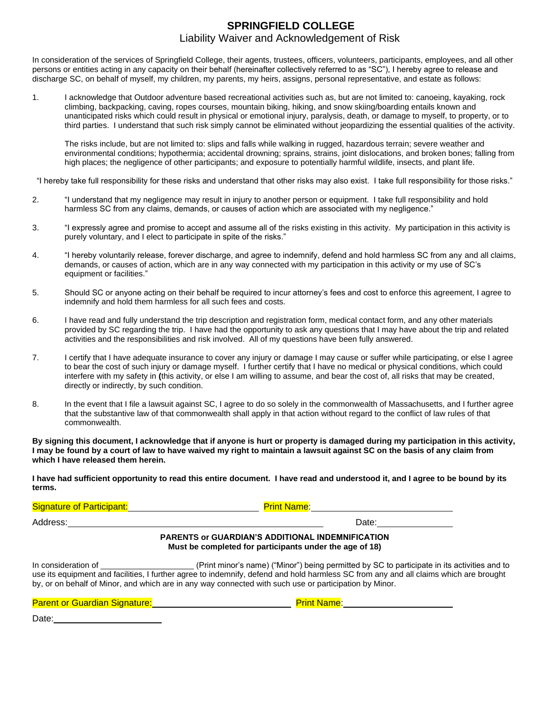## **SPRINGFIELD COLLEGE** Liability Waiver and Acknowledgement of Risk

In consideration of the services of Springfield College, their agents, trustees, officers, volunteers, participants, employees, and all other persons or entities acting in any capacity on their behalf (hereinafter collectively referred to as "SC"), I hereby agree to release and discharge SC, on behalf of myself, my children, my parents, my heirs, assigns, personal representative, and estate as follows:

1. I acknowledge that Outdoor adventure based recreational activities such as, but are not limited to: canoeing, kayaking, rock climbing, backpacking, caving, ropes courses, mountain biking, hiking, and snow skiing/boarding entails known and unanticipated risks which could result in physical or emotional injury, paralysis, death, or damage to myself, to property, or to third parties. I understand that such risk simply cannot be eliminated without jeopardizing the essential qualities of the activity.

The risks include, but are not limited to: slips and falls while walking in rugged, hazardous terrain; severe weather and environmental conditions; hypothermia; accidental drowning; sprains, strains, joint dislocations, and broken bones; falling from high places; the negligence of other participants; and exposure to potentially harmful wildlife, insects, and plant life.

"I hereby take full responsibility for these risks and understand that other risks may also exist. I take full responsibility for those risks."

- 2. "I understand that my negligence may result in injury to another person or equipment. I take full responsibility and hold harmless SC from any claims, demands, or causes of action which are associated with my negligence."
- 3. "I expressly agree and promise to accept and assume all of the risks existing in this activity. My participation in this activity is purely voluntary, and I elect to participate in spite of the risks."
- 4. "I hereby voluntarily release, forever discharge, and agree to indemnify, defend and hold harmless SC from any and all claims, demands, or causes of action, which are in any way connected with my participation in this activity or my use of SC's equipment or facilities."
- 5. Should SC or anyone acting on their behalf be required to incur attorney's fees and cost to enforce this agreement, I agree to indemnify and hold them harmless for all such fees and costs.
- 6. I have read and fully understand the trip description and registration form, medical contact form, and any other materials provided by SC regarding the trip. I have had the opportunity to ask any questions that I may have about the trip and related activities and the responsibilities and risk involved. All of my questions have been fully answered.
- 7. I certify that I have adequate insurance to cover any injury or damage I may cause or suffer while participating, or else I agree to bear the cost of such injury or damage myself. I further certify that I have no medical or physical conditions, which could interfere with my safety in **(**this activity, or else I am willing to assume, and bear the cost of, all risks that may be created, directly or indirectly, by such condition.
- 8. In the event that I file a lawsuit against SC, I agree to do so solely in the commonwealth of Massachusetts, and I further agree that the substantive law of that commonwealth shall apply in that action without regard to the conflict of law rules of that commonwealth.

**By signing this document, I acknowledge that if anyone is hurt or property is damaged during my participation in this activity, I may be found by a court of law to have waived my right to maintain a lawsuit against SC on the basis of any claim from which I have released them herein.**

**I have had sufficient opportunity to read this entire document. I have read and understood it, and I agree to be bound by its terms.**

| <b>Signature of Participant:</b> | <b>Print Name:</b>                                                                                                 |  |  |
|----------------------------------|--------------------------------------------------------------------------------------------------------------------|--|--|
| Address:                         | Date:                                                                                                              |  |  |
|                                  | <b>PARENTS or GUARDIAN'S ADDITIONAL INDEMNIFICATION</b><br>Must be completed for participants under the age of 18) |  |  |

In consideration of \_\_\_\_\_\_\_\_\_\_\_\_\_\_\_\_\_\_\_\_\_\_(Print minor's name) ("Minor") being permitted by SC to participate in its activities and to use its equipment and facilities, I further agree to indemnify, defend and hold harmless SC from any and all claims which are brought by, or on behalf of Minor, and which are in any way connected with such use or participation by Minor.

| <b>Parent or Guardian Signature:</b> |  |
|--------------------------------------|--|
|--------------------------------------|--|

**Print Name:** 

Date: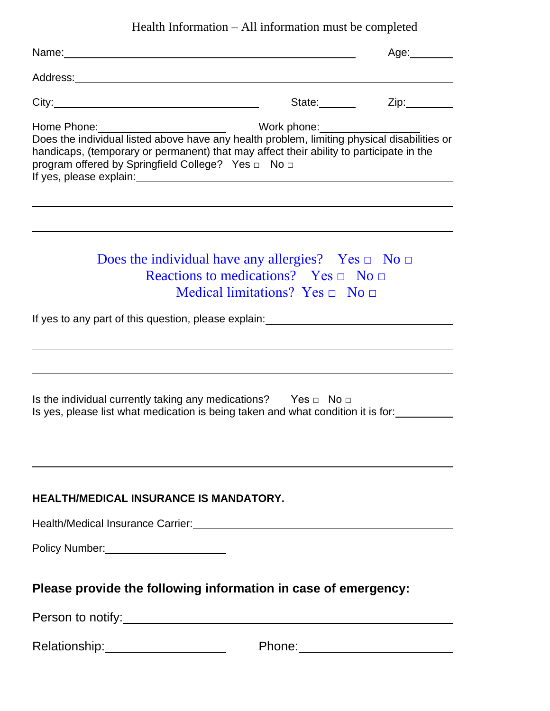Health Information – All information must be completed

|                                                                                                                                                                                                                                                                                                                                                                 |                                                                                                                                                             | Age:________ |
|-----------------------------------------------------------------------------------------------------------------------------------------------------------------------------------------------------------------------------------------------------------------------------------------------------------------------------------------------------------------|-------------------------------------------------------------------------------------------------------------------------------------------------------------|--------------|
| Address: <u>Address:</u> Address: Address: Address: Address: Address: Address: Address: Address: Address: Address: Address: Address: Address: Address: Address: Address: Address: Address: Address: Address: Address: Address: Addr                                                                                                                             |                                                                                                                                                             |              |
| City:                                                                                                                                                                                                                                                                                                                                                           |                                                                                                                                                             | State: Zip:  |
| Home Phone: University on the Work phone: Work phone: Does the individual listed above have any health problem, limiting physical disabilities or<br>handicaps, (temporary or permanent) that may affect their ability to participate in the<br>program offered by Springfield College? Yes □ No □<br>If yes, please explain:<br><u>If</u> yes, please explain: |                                                                                                                                                             |              |
|                                                                                                                                                                                                                                                                                                                                                                 | Does the individual have any allergies? Yes $\Box$ No $\Box$<br>Reactions to medications? Yes $\Box$ No $\Box$<br>Medical limitations? Yes $\Box$ No $\Box$ |              |
| If yes to any part of this question, please explain:                                                                                                                                                                                                                                                                                                            |                                                                                                                                                             |              |
| Is the individual currently taking any medications? Yes $\Box$ No $\Box$<br>Is yes, please list what medication is being taken and what condition it is for:                                                                                                                                                                                                    |                                                                                                                                                             |              |
| HEALTH/MEDICAL INSURANCE IS MANDATORY.                                                                                                                                                                                                                                                                                                                          |                                                                                                                                                             |              |
|                                                                                                                                                                                                                                                                                                                                                                 |                                                                                                                                                             |              |
|                                                                                                                                                                                                                                                                                                                                                                 |                                                                                                                                                             |              |
| Please provide the following information in case of emergency:                                                                                                                                                                                                                                                                                                  |                                                                                                                                                             |              |
|                                                                                                                                                                                                                                                                                                                                                                 |                                                                                                                                                             |              |
| Relationship: _______________________                                                                                                                                                                                                                                                                                                                           |                                                                                                                                                             |              |